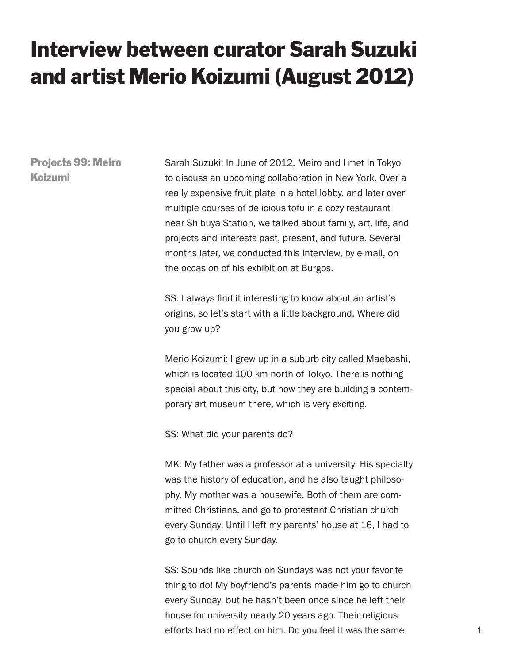## Interview between curator Sarah Suzuki and artist Merio Koizumi (August 2012)

Projects 99: Meiro Koizumi

Sarah Suzuki: In June of 2012, Meiro and I met in Tokyo to discuss an upcoming collaboration in New York. Over a really expensive fruit plate in a hotel lobby, and later over multiple courses of delicious tofu in a cozy restaurant near Shibuya Station, we talked about family, art, life, and projects and interests past, present, and future. Several months later, we conducted this interview, by e-mail, on the occasion of his exhibition at Burgos.

SS: I always find it interesting to know about an artist's origins, so let's start with a little background. Where did you grow up?

Merio Koizumi: I grew up in a suburb city called Maebashi, which is located 100 km north of Tokyo. There is nothing special about this city, but now they are building a contemporary art museum there, which is very exciting.

SS: What did your parents do?

MK: My father was a professor at a university. His specialty was the history of education, and he also taught philosophy. My mother was a housewife. Both of them are committed Christians, and go to protestant Christian church every Sunday. Until I left my parents' house at 16, I had to go to church every Sunday.

SS: Sounds like church on Sundays was not your favorite thing to do! My boyfriend's parents made him go to church every Sunday, but he hasn't been once since he left their house for university nearly 20 years ago. Their religious efforts had no effect on him. Do you feel it was the same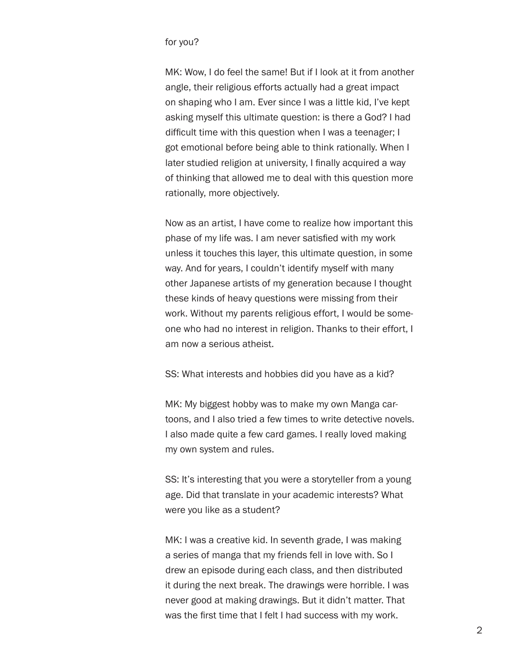## for you?

MK: Wow, I do feel the same! But if I look at it from another angle, their religious efforts actually had a great impact on shaping who I am. Ever since I was a little kid, I've kept asking myself this ultimate question: is there a God? I had difficult time with this question when I was a teenager; I got emotional before being able to think rationally. When I later studied religion at university, I finally acquired a way of thinking that allowed me to deal with this question more rationally, more objectively.

Now as an artist, I have come to realize how important this phase of my life was. I am never satisfied with my work unless it touches this layer, this ultimate question, in some way. And for years, I couldn't identify myself with many other Japanese artists of my generation because I thought these kinds of heavy questions were missing from their work. Without my parents religious effort, I would be someone who had no interest in religion. Thanks to their effort, I am now a serious atheist.

SS: What interests and hobbies did you have as a kid?

MK: My biggest hobby was to make my own Manga cartoons, and I also tried a few times to write detective novels. I also made quite a few card games. I really loved making my own system and rules.

SS: It's interesting that you were a storyteller from a young age. Did that translate in your academic interests? What were you like as a student?

MK: I was a creative kid. In seventh grade, I was making a series of manga that my friends fell in love with. So I drew an episode during each class, and then distributed it during the next break. The drawings were horrible. I was never good at making drawings. But it didn't matter. That was the first time that I felt I had success with my work.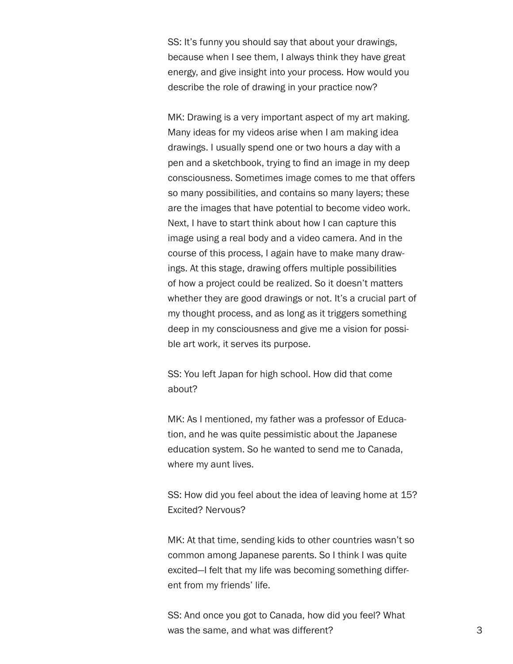SS: It's funny you should say that about your drawings, because when I see them, I always think they have great energy, and give insight into your process. How would you describe the role of drawing in your practice now?

MK: Drawing is a very important aspect of my art making. Many ideas for my videos arise when I am making idea drawings. I usually spend one or two hours a day with a pen and a sketchbook, trying to find an image in my deep consciousness. Sometimes image comes to me that offers so many possibilities, and contains so many layers; these are the images that have potential to become video work. Next, I have to start think about how I can capture this image using a real body and a video camera. And in the course of this process, I again have to make many drawings. At this stage, drawing offers multiple possibilities of how a project could be realized. So it doesn't matters whether they are good drawings or not. It's a crucial part of my thought process, and as long as it triggers something deep in my consciousness and give me a vision for possible art work, it serves its purpose.

SS: You left Japan for high school. How did that come about?

MK: As I mentioned, my father was a professor of Education, and he was quite pessimistic about the Japanese education system. So he wanted to send me to Canada, where my aunt lives.

SS: How did you feel about the idea of leaving home at 15? Excited? Nervous?

MK: At that time, sending kids to other countries wasn't so common among Japanese parents. So I think I was quite excited—I felt that my life was becoming something different from my friends' life.

SS: And once you got to Canada, how did you feel? What was the same, and what was different?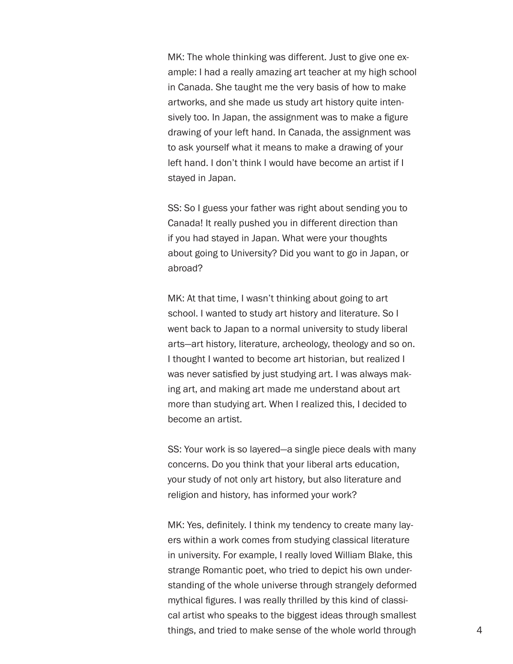MK: The whole thinking was different. Just to give one example: I had a really amazing art teacher at my high school in Canada. She taught me the very basis of how to make artworks, and she made us study art history quite intensively too. In Japan, the assignment was to make a figure drawing of your left hand. In Canada, the assignment was to ask yourself what it means to make a drawing of your left hand. I don't think I would have become an artist if I stayed in Japan.

SS: So I guess your father was right about sending you to Canada! It really pushed you in different direction than if you had stayed in Japan. What were your thoughts about going to University? Did you want to go in Japan, or abroad?

MK: At that time, I wasn't thinking about going to art school. I wanted to study art history and literature. So I went back to Japan to a normal university to study liberal arts—art history, literature, archeology, theology and so on. I thought I wanted to become art historian, but realized I was never satisfied by just studying art. I was always making art, and making art made me understand about art more than studying art. When I realized this, I decided to become an artist.

SS: Your work is so layered—a single piece deals with many concerns. Do you think that your liberal arts education, your study of not only art history, but also literature and religion and history, has informed your work?

MK: Yes, definitely. I think my tendency to create many layers within a work comes from studying classical literature in university. For example, I really loved William Blake, this strange Romantic poet, who tried to depict his own understanding of the whole universe through strangely deformed mythical figures. I was really thrilled by this kind of classical artist who speaks to the biggest ideas through smallest things, and tried to make sense of the whole world through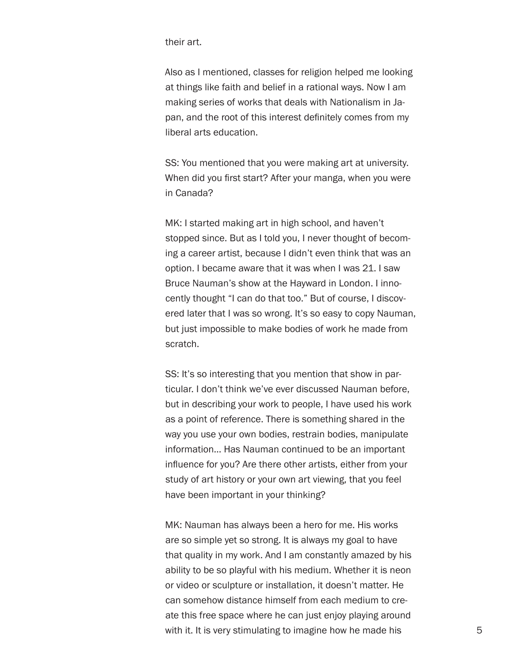their art.

Also as I mentioned, classes for religion helped me looking at things like faith and belief in a rational ways. Now I am making series of works that deals with Nationalism in Japan, and the root of this interest definitely comes from my liberal arts education.

SS: You mentioned that you were making art at university. When did you first start? After your manga, when you were in Canada?

MK: I started making art in high school, and haven't stopped since. But as I told you, I never thought of becoming a career artist, because I didn't even think that was an option. I became aware that it was when I was 21. I saw Bruce Nauman's show at the Hayward in London. I innocently thought "I can do that too." But of course, I discovered later that I was so wrong. It's so easy to copy Nauman, but just impossible to make bodies of work he made from scratch.

SS: It's so interesting that you mention that show in particular. I don't think we've ever discussed Nauman before, but in describing your work to people, I have used his work as a point of reference. There is something shared in the way you use your own bodies, restrain bodies, manipulate information… Has Nauman continued to be an important influence for you? Are there other artists, either from your study of art history or your own art viewing, that you feel have been important in your thinking?

MK: Nauman has always been a hero for me. His works are so simple yet so strong. It is always my goal to have that quality in my work. And I am constantly amazed by his ability to be so playful with his medium. Whether it is neon or video or sculpture or installation, it doesn't matter. He can somehow distance himself from each medium to create this free space where he can just enjoy playing around with it. It is very stimulating to imagine how he made his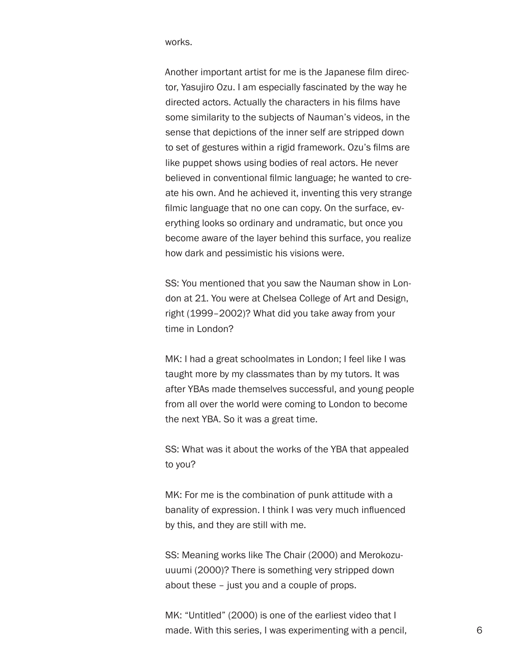works.

Another important artist for me is the Japanese film director, Yasujiro Ozu. I am especially fascinated by the way he directed actors. Actually the characters in his films have some similarity to the subjects of Nauman's videos, in the sense that depictions of the inner self are stripped down to set of gestures within a rigid framework. Ozu's films are like puppet shows using bodies of real actors. He never believed in conventional filmic language; he wanted to create his own. And he achieved it, inventing this very strange filmic language that no one can copy. On the surface, everything looks so ordinary and undramatic, but once you become aware of the layer behind this surface, you realize how dark and pessimistic his visions were.

SS: You mentioned that you saw the Nauman show in London at 21. You were at Chelsea College of Art and Design, right (1999–2002)? What did you take away from your time in London?

MK: I had a great schoolmates in London; I feel like I was taught more by my classmates than by my tutors. It was after YBAs made themselves successful, and young people from all over the world were coming to London to become the next YBA. So it was a great time.

SS: What was it about the works of the YBA that appealed to you?

MK: For me is the combination of punk attitude with a banality of expression. I think I was very much influenced by this, and they are still with me.

SS: Meaning works like The Chair (2000) and Merokozuuuumi (2000)? There is something very stripped down about these – just you and a couple of props.

MK: "Untitled" (2000) is one of the earliest video that I made. With this series, I was experimenting with a pencil,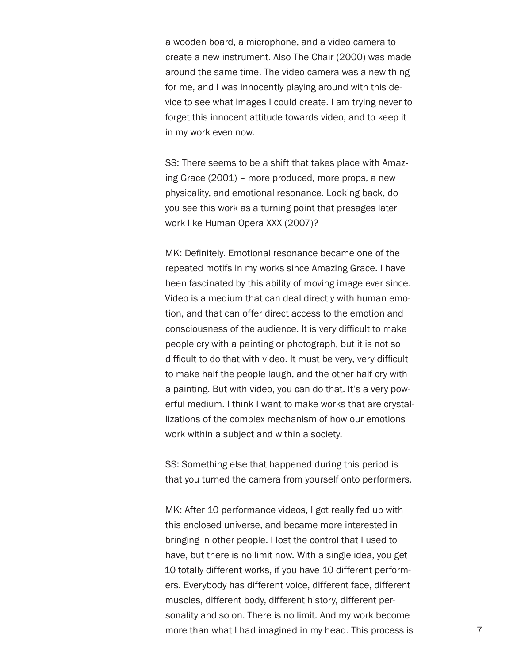a wooden board, a microphone, and a video camera to create a new instrument. Also The Chair (2000) was made around the same time. The video camera was a new thing for me, and I was innocently playing around with this device to see what images I could create. I am trying never to forget this innocent attitude towards video, and to keep it in my work even now.

SS: There seems to be a shift that takes place with Amazing Grace (2001) – more produced, more props, a new physicality, and emotional resonance. Looking back, do you see this work as a turning point that presages later work like Human Opera XXX (2007)?

MK: Definitely. Emotional resonance became one of the repeated motifs in my works since Amazing Grace. I have been fascinated by this ability of moving image ever since. Video is a medium that can deal directly with human emotion, and that can offer direct access to the emotion and consciousness of the audience. It is very difficult to make people cry with a painting or photograph, but it is not so difficult to do that with video. It must be very, very difficult to make half the people laugh, and the other half cry with a painting. But with video, you can do that. It's a very powerful medium. I think I want to make works that are crystallizations of the complex mechanism of how our emotions work within a subject and within a society.

SS: Something else that happened during this period is that you turned the camera from yourself onto performers.

MK: After 10 performance videos, I got really fed up with this enclosed universe, and became more interested in bringing in other people. I lost the control that I used to have, but there is no limit now. With a single idea, you get 10 totally different works, if you have 10 different performers. Everybody has different voice, different face, different muscles, different body, different history, different personality and so on. There is no limit. And my work become more than what I had imagined in my head. This process is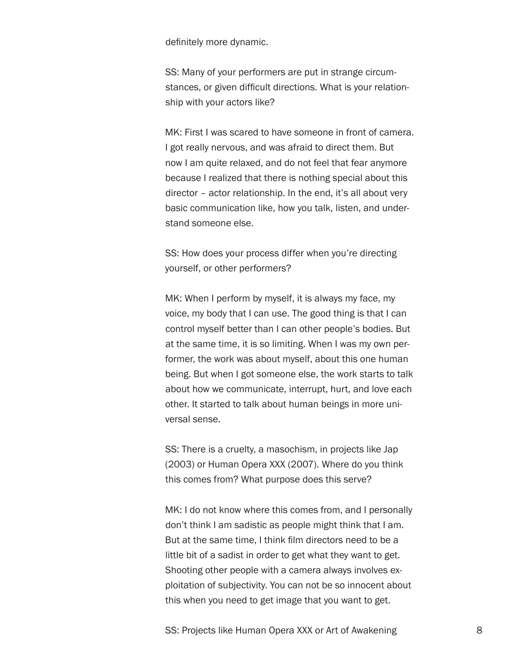definitely more dynamic.

SS: Many of your performers are put in strange circumstances, or given difficult directions. What is your relationship with your actors like?

MK: First I was scared to have someone in front of camera. I got really nervous, and was afraid to direct them. But now I am quite relaxed, and do not feel that fear anymore because I realized that there is nothing special about this director – actor relationship. In the end, it's all about very basic communication like, how you talk, listen, and understand someone else.

SS: How does your process differ when you're directing yourself, or other performers?

MK: When I perform by myself, it is always my face, my voice, my body that I can use. The good thing is that I can control myself better than I can other people's bodies. But at the same time, it is so limiting. When I was my own performer, the work was about myself, about this one human being. But when I got someone else, the work starts to talk about how we communicate, interrupt, hurt, and love each other. It started to talk about human beings in more universal sense.

SS: There is a cruelty, a masochism, in projects like Jap (2003) or Human Opera XXX (2007). Where do you think this comes from? What purpose does this serve?

MK: I do not know where this comes from, and I personally don't think I am sadistic as people might think that I am. But at the same time, I think film directors need to be a little bit of a sadist in order to get what they want to get. Shooting other people with a camera always involves exploitation of subjectivity. You can not be so innocent about this when you need to get image that you want to get.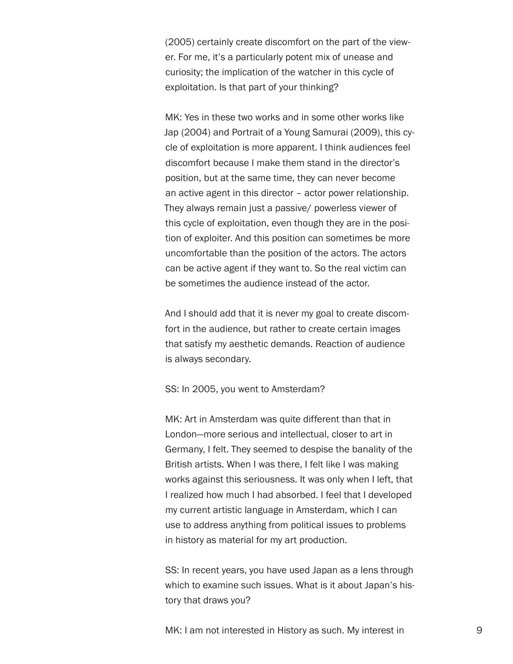(2005) certainly create discomfort on the part of the viewer. For me, it's a particularly potent mix of unease and curiosity; the implication of the watcher in this cycle of exploitation. Is that part of your thinking?

MK: Yes in these two works and in some other works like Jap (2004) and Portrait of a Young Samurai (2009), this cycle of exploitation is more apparent. I think audiences feel discomfort because I make them stand in the director's position, but at the same time, they can never become an active agent in this director – actor power relationship. They always remain just a passive/ powerless viewer of this cycle of exploitation, even though they are in the position of exploiter. And this position can sometimes be more uncomfortable than the position of the actors. The actors can be active agent if they want to. So the real victim can be sometimes the audience instead of the actor.

And I should add that it is never my goal to create discomfort in the audience, but rather to create certain images that satisfy my aesthetic demands. Reaction of audience is always secondary.

## SS: In 2005, you went to Amsterdam?

MK: Art in Amsterdam was quite different than that in London—more serious and intellectual, closer to art in Germany, I felt. They seemed to despise the banality of the British artists. When I was there, I felt like I was making works against this seriousness. It was only when I left, that I realized how much I had absorbed. I feel that I developed my current artistic language in Amsterdam, which I can use to address anything from political issues to problems in history as material for my art production.

SS: In recent years, you have used Japan as a lens through which to examine such issues. What is it about Japan's history that draws you?